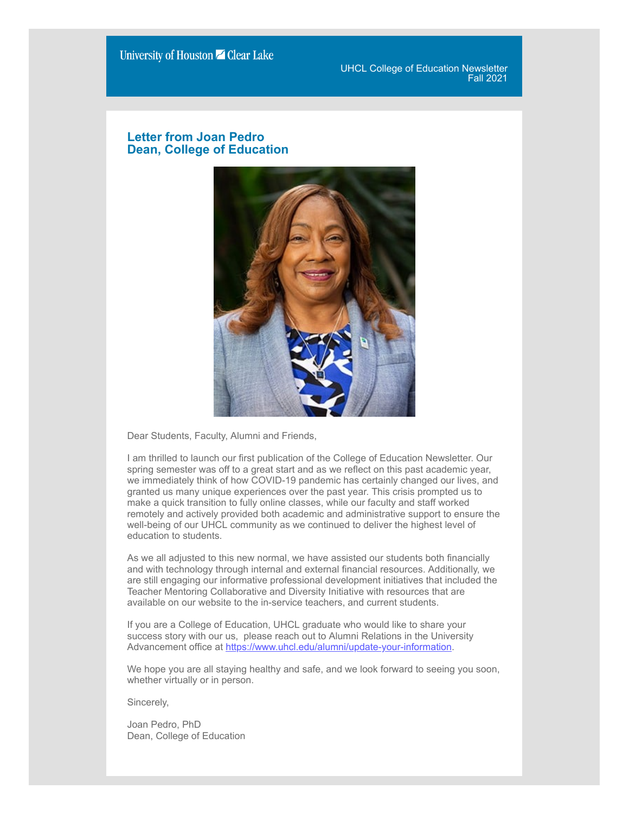UHCL College of Education Newsletter Fall 2021

### **Letter from Joan Pedro Dean, College of Education**



Dear Students, Faculty, Alumni and Friends,

I am thrilled to launch our first publication of the College of Education Newsletter. Our spring semester was off to a great start and as we reflect on this past academic year, we immediately think of how COVID-19 pandemic has certainly changed our lives, and granted us many unique experiences over the past year. This crisis prompted us to make a quick transition to fully online classes, while our faculty and staff worked remotely and actively provided both academic and administrative support to ensure the well-being of our UHCL community as we continued to deliver the highest level of education to students.

As we all adjusted to this new normal, we have assisted our students both financially and with technology through internal and external financial resources. Additionally, we are still engaging our informative professional development initiatives that included the Teacher Mentoring Collaborative and Diversity Initiative with resources that are available on our website to the in-service teachers, and current students.

If you are a College of Education, UHCL graduate who would like to share your success story with our us, please reach out to Alumni Relations in the University Advancement office at [https://www.uhcl.edu/alumni/update-your-information.](http://www.uhcl.edu/alumni/update-your-information)

We hope you are all staying healthy and safe, and we look forward to seeing you soon, whether virtually or in person.

Sincerely,

Joan Pedro, PhD Dean, College of Education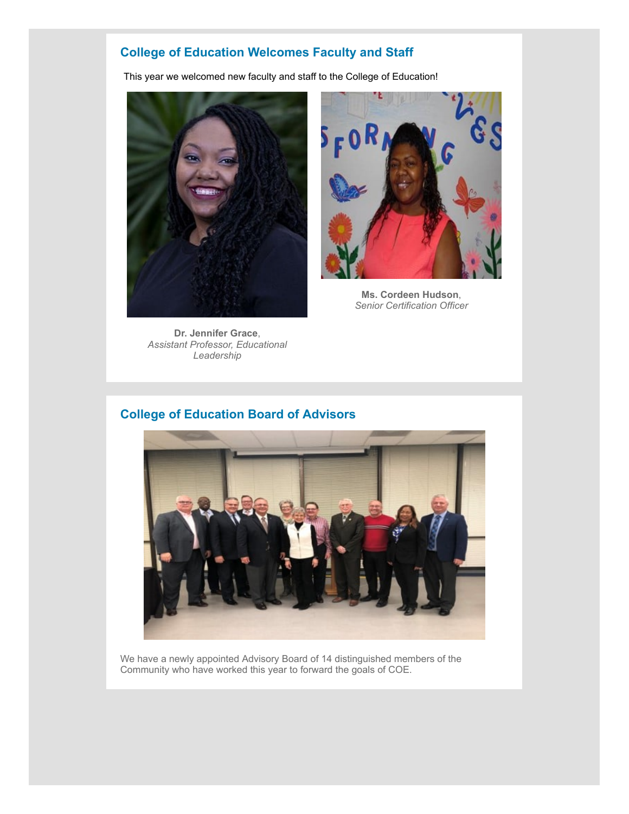# **College of Education Welcomes Faculty and Staff**

This year we welcomed new faculty and staff to the College of Education!



**Dr. Jennifer Grace**, *Assistant Professor, Educational Leadership*



**Ms. Cordeen Hudson**, *Senior Certification Officer*

## **College of Education Board of Advisors**



We have a newly appointed Advisory Board of 14 distinguished members of the Community who have worked this year to forward the goals of COE.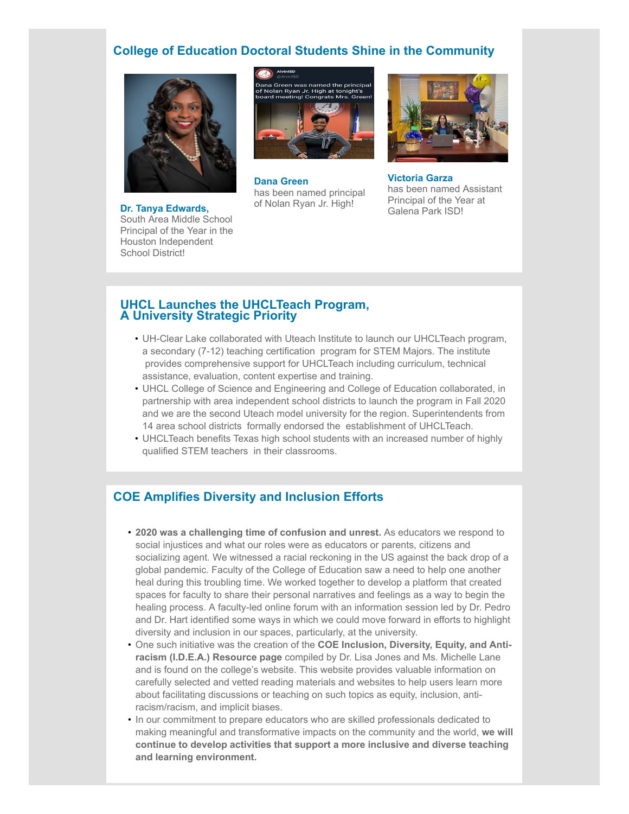### **College of Education Doctoral Students Shine in the Community**



**Dr. Tanya Edwards,** South Area Middle School Principal of the Year in the Houston Independent School District!



**Dana Green** has been named principal of Nolan Ryan Jr. High!



**Victoria Garza** has been named Assistant Principal of the Year at Galena Park ISD!

#### **UHCL Launches the UHCLTeach Program, A University Strategic Priority**

- UH-Clear Lake collaborated with Uteach Institute to launch our UHCLTeach program, a secondary (7-12) teaching certification program for STEM Majors. The institute provides comprehensive support for UHCLTeach including curriculum, technical assistance, evaluation, content expertise and training.
- UHCL College of Science and Engineering and College of Education collaborated, in partnership with area independent school districts to launch the program in Fall 2020 and we are the second Uteach model university for the region. Superintendents from 14 area school districts formally endorsed the establishment of UHCLTeach.
- UHCLTeach benefits Texas high school students with an increased number of highly qualified STEM teachers in their classrooms.

### **COE Amplifies Diversity and Inclusion Efforts**

- **2020 was a challenging time of confusion and unrest.** As educators we respond to social injustices and what our roles were as educators or parents, citizens and socializing agent. We witnessed a racial reckoning in the US against the back drop of a global pandemic. Faculty of the College of Education saw a need to help one another heal during this troubling time. We worked together to develop a platform that created spaces for faculty to share their personal narratives and feelings as a way to begin the healing process. A faculty-led online forum with an information session led by Dr. Pedro and Dr. Hart identified some ways in which we could move forward in efforts to highlight diversity and inclusion in our spaces, particularly, at the university.
- One such initiative was the creation of the **COE Inclusion, Diversity, Equity, and Antiracism (I.D.E.A.) Resource page** compiled by Dr. Lisa Jones and Ms. Michelle Lane and is found on the college's website. This website provides valuable information on carefully selected and vetted reading materials and websites to help users learn more about facilitating discussions or teaching on such topics as equity, inclusion, antiracism/racism, and implicit biases.
- In our commitment to prepare educators who are skilled professionals dedicated to making meaningful and transformative impacts on the community and the world, **we will continue to develop activities that support a more inclusive and diverse teaching and learning environment.**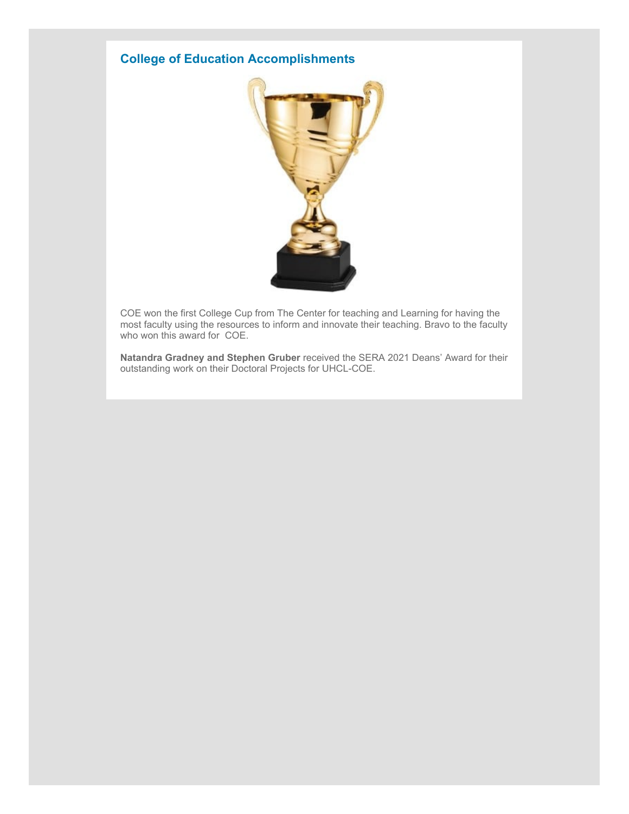# **College of Education Accomplishments**



COE won the first College Cup from The Center for teaching and Learning for having the most faculty using the resources to inform and innovate their teaching. Bravo to the faculty who won this award for COE.

**Natandra Gradney and Stephen Gruber** received the SERA 2021 Deans' Award for their outstanding work on their Doctoral Projects for UHCL-COE.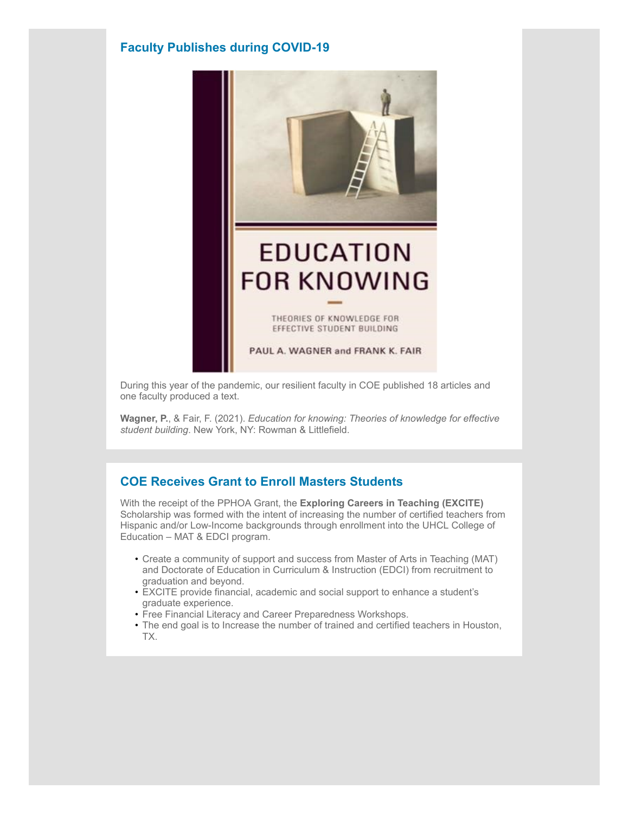### **Faculty Publishes during COVID-19**



During this year of the pandemic, our resilient faculty in COE published 18 articles and one faculty produced a text.

**Wagner, P.**, & Fair, F. (2021). *Education for knowing: Theories of knowledge for effective student building*. New York, NY: Rowman & Littlefield.

### **COE Receives Grant to Enroll Masters Students**

With the receipt of the PPHOA Grant, the **Exploring Careers in Teaching (EXCITE)** Scholarship was formed with the intent of increasing the number of certified teachers from Hispanic and/or Low-Income backgrounds through enrollment into the UHCL College of Education – MAT & EDCI program.

- Create a community of support and success from Master of Arts in Teaching (MAT) and Doctorate of Education in Curriculum & Instruction (EDCI) from recruitment to graduation and beyond.
- EXCITE provide financial, academic and social support to enhance a student's graduate experience.
- Free Financial Literacy and Career Preparedness Workshops.
- The end goal is to Increase the number of trained and certified teachers in Houston, TX.